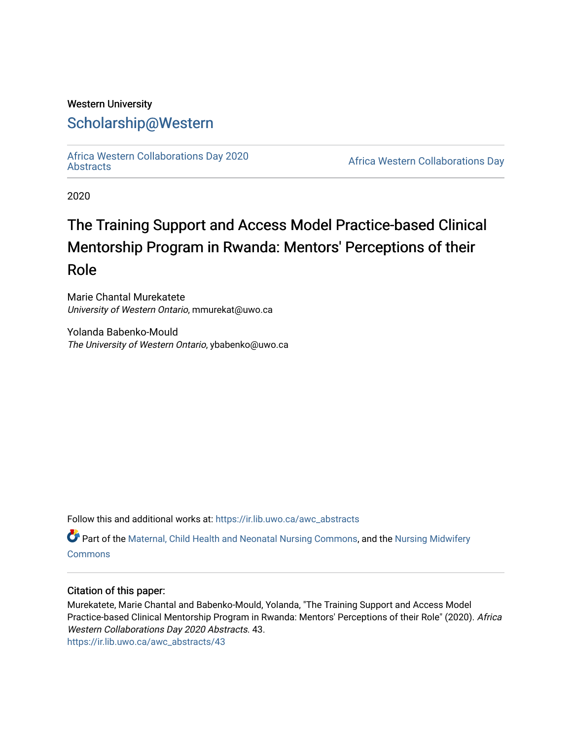### Western University [Scholarship@Western](https://ir.lib.uwo.ca/)

[Africa Western Collaborations Day 2020](https://ir.lib.uwo.ca/awc_abstracts)

Africa Western Collaborations Day

2020

# The Training Support and Access Model Practice-based Clinical Mentorship Program in Rwanda: Mentors' Perceptions of their Role

Marie Chantal Murekatete University of Western Ontario, mmurekat@uwo.ca

Yolanda Babenko-Mould The University of Western Ontario, ybabenko@uwo.ca

Follow this and additional works at: [https://ir.lib.uwo.ca/awc\\_abstracts](https://ir.lib.uwo.ca/awc_abstracts?utm_source=ir.lib.uwo.ca%2Fawc_abstracts%2F43&utm_medium=PDF&utm_campaign=PDFCoverPages) 

Part of the [Maternal, Child Health and Neonatal Nursing Commons,](http://network.bepress.com/hgg/discipline/721?utm_source=ir.lib.uwo.ca%2Fawc_abstracts%2F43&utm_medium=PDF&utm_campaign=PDFCoverPages) and the [Nursing Midwifery](http://network.bepress.com/hgg/discipline/722?utm_source=ir.lib.uwo.ca%2Fawc_abstracts%2F43&utm_medium=PDF&utm_campaign=PDFCoverPages)  [Commons](http://network.bepress.com/hgg/discipline/722?utm_source=ir.lib.uwo.ca%2Fawc_abstracts%2F43&utm_medium=PDF&utm_campaign=PDFCoverPages)

#### Citation of this paper:

Murekatete, Marie Chantal and Babenko-Mould, Yolanda, "The Training Support and Access Model Practice-based Clinical Mentorship Program in Rwanda: Mentors' Perceptions of their Role" (2020). Africa Western Collaborations Day 2020 Abstracts. 43. [https://ir.lib.uwo.ca/awc\\_abstracts/43](https://ir.lib.uwo.ca/awc_abstracts/43?utm_source=ir.lib.uwo.ca%2Fawc_abstracts%2F43&utm_medium=PDF&utm_campaign=PDFCoverPages)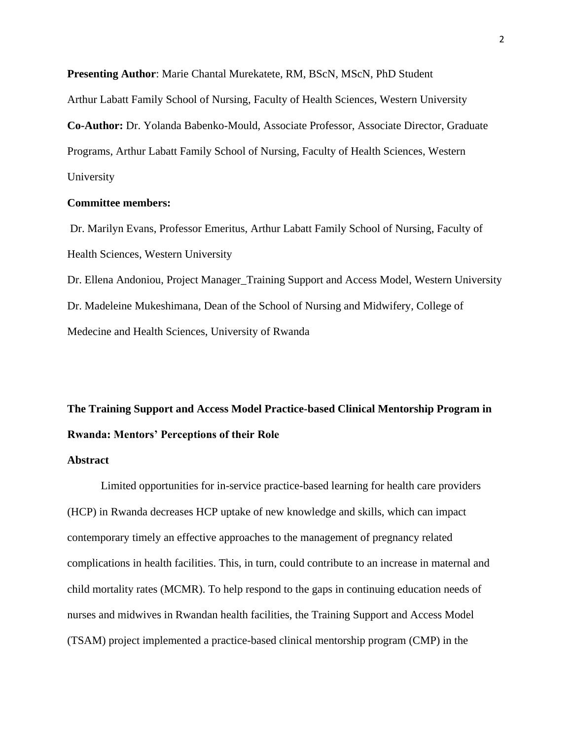**Presenting Author**: Marie Chantal Murekatete, RM, BScN, MScN, PhD Student

Arthur Labatt Family School of Nursing, Faculty of Health Sciences, Western University

**Co-Author:** Dr. Yolanda Babenko-Mould, Associate Professor, Associate Director, Graduate Programs, Arthur Labatt Family School of Nursing, Faculty of Health Sciences, Western University

#### **Committee members:**

Dr. Marilyn Evans, Professor Emeritus, Arthur Labatt Family School of Nursing, Faculty of Health Sciences, Western University

Dr. Ellena Andoniou, Project Manager\_Training Support and Access Model, Western University Dr. Madeleine Mukeshimana, Dean of the School of Nursing and Midwifery, College of Medecine and Health Sciences, University of Rwanda

## **The Training Support and Access Model Practice-based Clinical Mentorship Program in Rwanda: Mentors' Perceptions of their Role**

#### **Abstract**

Limited opportunities for in-service practice-based learning for health care providers (HCP) in Rwanda decreases HCP uptake of new knowledge and skills, which can impact contemporary timely an effective approaches to the management of pregnancy related complications in health facilities. This, in turn, could contribute to an increase in maternal and child mortality rates (MCMR). To help respond to the gaps in continuing education needs of nurses and midwives in Rwandan health facilities, the Training Support and Access Model (TSAM) project implemented a practice-based clinical mentorship program (CMP) in the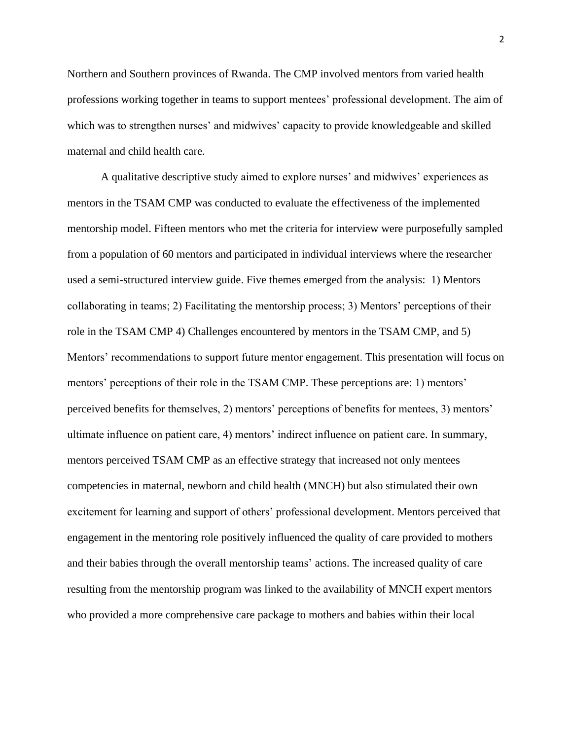Northern and Southern provinces of Rwanda. The CMP involved mentors from varied health professions working together in teams to support mentees' professional development. The aim of which was to strengthen nurses' and midwives' capacity to provide knowledgeable and skilled maternal and child health care.

A qualitative descriptive study aimed to explore nurses' and midwives' experiences as mentors in the TSAM CMP was conducted to evaluate the effectiveness of the implemented mentorship model. Fifteen mentors who met the criteria for interview were purposefully sampled from a population of 60 mentors and participated in individual interviews where the researcher used a semi-structured interview guide. Five themes emerged from the analysis: 1) Mentors collaborating in teams; 2) Facilitating the mentorship process; 3) Mentors' perceptions of their role in the TSAM CMP 4) Challenges encountered by mentors in the TSAM CMP, and 5) Mentors' recommendations to support future mentor engagement. This presentation will focus on mentors' perceptions of their role in the TSAM CMP. These perceptions are: 1) mentors' perceived benefits for themselves, 2) mentors' perceptions of benefits for mentees, 3) mentors' ultimate influence on patient care, 4) mentors' indirect influence on patient care. In summary, mentors perceived TSAM CMP as an effective strategy that increased not only mentees competencies in maternal, newborn and child health (MNCH) but also stimulated their own excitement for learning and support of others' professional development. Mentors perceived that engagement in the mentoring role positively influenced the quality of care provided to mothers and their babies through the overall mentorship teams' actions. The increased quality of care resulting from the mentorship program was linked to the availability of MNCH expert mentors who provided a more comprehensive care package to mothers and babies within their local